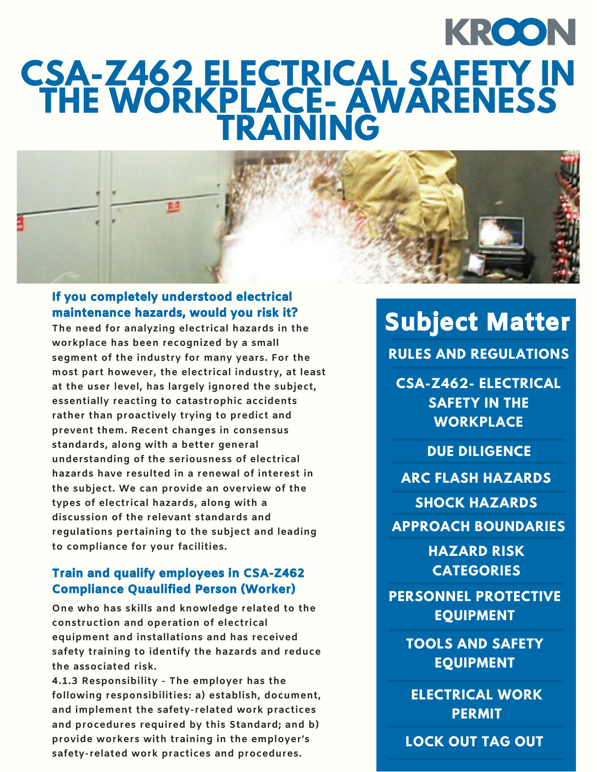## KROON **CSA-Z462 ELECTRICAL SAFETY IN THE WORKPLACE- AWARENESS TRAINING**



#### If you completely understood electrical maintenance hazards, would you risk it?

**The need for analyzing electrical hazards in the workplace has been recognized by a small segment of the industry for many years. For the most part however, the electrical industry, at least at the user level, has largely ignored the subject, essentially reacting to catastrophic accidents rather than proactively trying to predict and prevent them. Recent changes in consensus standards, along with a better general understanding of the seriousness of electrical hazards have resulted in a renewal of interest in the subject. We can provide an overview of the types of electrical hazards, along with a discussion of the relevant standards and regulations pertaining to the subject and leading to compliance for your facilities.**

#### Train and qualify employees in CSA-Z462 Compliance Quaulified Person (Worker)

**One who has skills and knowledge related to the construction and operation of electrical equipment and installations and has received safety training to identify the hazards and reduce the associated risk.**

**4.1.3 Responsibility - The employer has the following responsibilities: a) establish, document, and implement the safety-related work practices and procedures required by this Standard; and b) provide workers with training in the employer's safety-related work practices and procedures.**

## Subject Matter

**RULES AND REGULATIONS**

**CSA-Z462- ELECTRICAL SAFETY IN THE WORKPLACE**

**DUE DILIGENCE**

**ARC FLASH HAZARDS**

**SHOCK HAZARDS**

**APPROACH BOUNDARIES**

**HAZARD RISK CATEGORIES**

**PERSONNEL PROTECTIVE EQUIPMENT**

> **TOOLS AND SAFETY EQUIPMENT**

**ELECTRICAL WORK PERMIT**

**LOCK OUT TAG OUT**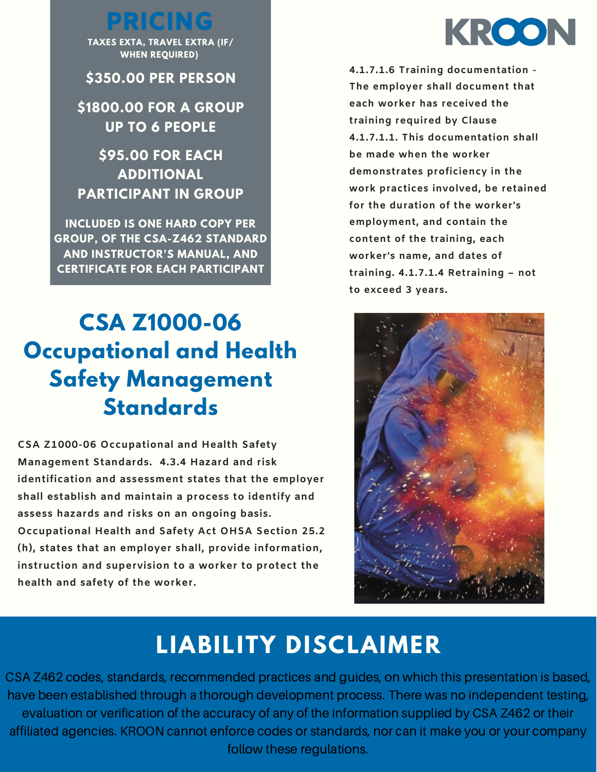PRICING

**TAXES EXTA, TRAVEL EXTRA (IF/ WHEN REQUIRED)**

**\$350.00 PER PERSON**

**\$1800.00 FOR A GROUP UP TO 6 PEOPLE**

### **\$95.00 FOR EACH ADDITIONAL PARTICIPANT IN GROUP**

**CERTIFICATE FOR EACH PARTICIPANT INCLUDED IS ONE HARD COPY PER GROUP, OF THE CSA-Z462 STANDARD AND INSTRUCTOR'S MANUAL, AND**

## **CSA Z1000-06 Occupational and Health Safety Management Standards**

**CSA Z1000-06 Occupational and Health Safety Management Standards. 4.3.4 Hazard and risk identification and assessment states that the employer shall establish and maintain a process to identify and assess hazards and risks on an ongoing basis. Occupational Health and Safety Act OHSA Section 25.2 (h), states that an employer shall, provide information, instruction and supervision to a worker to protect the health and safety of the worker.**



**4.1.7.1.6 Training documentation - The employer shall document that each worker has received the training required by Clause 4.1.7.1.1. This documentation shall be made when the worker demonstrates proficiency in the work practices involved, be retained for the duration of the worker's employment, and contain the content of the training, each worker's name, and dates of training. 4.1.7.1.4 Retraining – not to exceed 3 years.**



## **LIABILITY DISCLAIMER**

CSA Z462 codes, standards, recommended practices and guides, on which this presentation is based, have been established through a thorough development process. There was no independent testing, evaluation or verification of the accuracy of any of the information supplied by CSA Z462 or their affiliated agencies. KROON cannot enforce codes or standards, nor can it make you or your company follow these regulations.